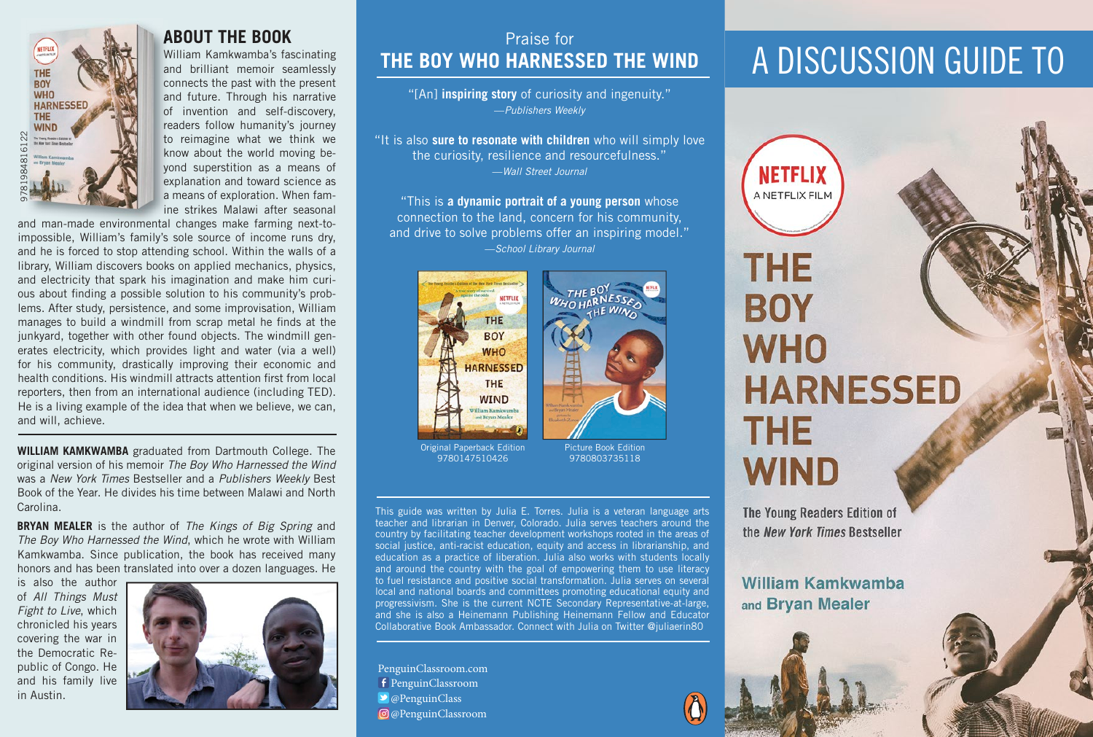

### **ABOUT THE BOOK**

William Kamkwamba's fascinating and brilliant memoir seamlessly connects the past with the present and future. Through his narrative of invention and self-discovery, readers follow humanity's journey to reimagine what we think we know about the world moving beyond superstition as a means of explanation and toward science as a means of exploration. When famine strikes Malawi after seasonal

and man-made environmental changes make farming next-toimpossible, William's family's sole source of income runs dry, and he is forced to stop attending school. Within the walls of a library, William discovers books on applied mechanics, physics, and electricity that spark his imagination and make him curious about finding a possible solution to his community's problems. After study, persistence, and some improvisation, William manages to build a windmill from scrap metal he finds at the junkyard, together with other found objects. The windmill generates electricity, which provides light and water (via a well) for his community, drastically improving their economic and health conditions. His windmill attracts attention first from local reporters, then from an international audience (including TED). He is a living example of the idea that when we believe, we can, and will, achieve.

**WILLIAM KAMKWAMBA** graduated from Dartmouth College. The original version of his memoir *The Boy Who Harnessed the Wind* was a *New York Times* Bestseller and a *Publishers Weekly* Best Book of the Year. He divides his time between Malawi and North Carolina.

**BRYAN MEALER** is the author of *The Kings of Big Spring* and *The Boy Who Harnessed the Wind*, which he wrote with William Kamkwamba. Since publication, the book has received many honors and has been translated into over a dozen languages. He

is also the author of *All Things Must Fight to Live*, which chronicled his years covering the war in the Democratic Republic of Congo. He and his family live in Austin.



## Praise for **THE BOY WHO HARNESSED THE WIND**

"[An] **inspiring story** of curiosity and ingenuity." —*Publishers Weekly* 

"It is also **sure to resonate with children** who will simply love the curiosity, resilience and resourcefulness." —*Wall Street Journal* 

"This is **a dynamic portrait of a young person** whose connection to the land, concern for his community, and drive to solve problems offer an inspiring model." —*School Library Journal*



9780147510426

Picture Book Edition 9780803735118

This guide was written by Julia E. Torres. Julia is a veteran language arts teacher and librarian in Denver, Colorado. Julia serves teachers around the country by facilitating teacher development workshops rooted in the areas of social justice, anti-racist education, equity and access in librarianship, and education as a practice of liberation. Julia also works with students locally and around the country with the goal of empowering them to use literacy to fuel resistance and positive social transformation. Julia serves on several local and national boards and committees promoting educational equity and progressivism. She is the current NCTE Secondary Representative-at-large, and she is also a Heinemann Publishing Heinemann Fellow and Educator Collaborative Book Ambassador. Connect with Julia on Twitter @juliaerin80

f PenguinClassroom  $\rightarrow$  @PenguinClass @PenguinClassroom PenguinClassroom.com

## A DISCUSSION GUIDE TO

**NETFLIX** A NETFLIX FILM

# **THE BOY WHO HARNESSED THE WIND**

The Young Readers Edition of the New York Times Bestseller

**William Kamkwamba** and Bryan Mealer